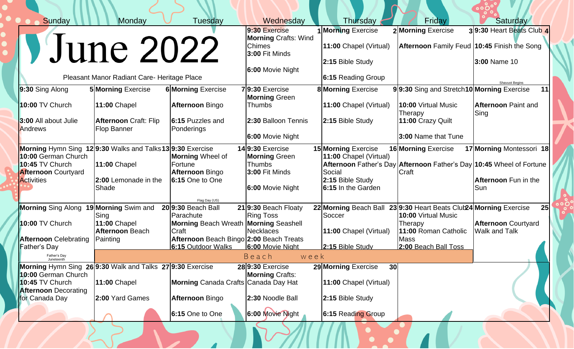| Sunday                                                    | Monday                                                                                                                                                                | Tuesday                                      | Wednesday                                                      |  | Thursday                               | Friday                                                               | <b>Saturday</b>            |  |  |
|-----------------------------------------------------------|-----------------------------------------------------------------------------------------------------------------------------------------------------------------------|----------------------------------------------|----------------------------------------------------------------|--|----------------------------------------|----------------------------------------------------------------------|----------------------------|--|--|
|                                                           |                                                                                                                                                                       |                                              | 9:30 Exercise                                                  |  | <b>Morning Exercise</b>                | 2 Morning Exercise                                                   | 39:30 Heart Beats Club 4   |  |  |
| VJune 2022                                                |                                                                                                                                                                       |                                              | <b>Morning Crafts: Wind</b><br><b>Chimes</b><br>3:00 Fit Minds |  | 11:00 Chapel (Virtual)                 | Afternoon Family Feud 10:45 Finish the Song                          |                            |  |  |
|                                                           |                                                                                                                                                                       |                                              |                                                                |  | 2:15 Bible Study                       |                                                                      | 3:00 Name 10               |  |  |
|                                                           |                                                                                                                                                                       |                                              | 6:00 Movie Night                                               |  |                                        |                                                                      |                            |  |  |
| Pleasant Manor Radiant Care- Heritage Place               |                                                                                                                                                                       |                                              |                                                                |  | 6:15 Reading Group                     |                                                                      | <b>Shavuot Begins</b>      |  |  |
| 9:30 Sing Along                                           | <b>5 Morning Exercise</b>                                                                                                                                             | <b>6 Morning Exercise</b>                    | 79:30 Exercise                                                 |  | <b>8 Morning Exercise</b>              | 99:30 Sing and Stretch10 Morning Exercise                            | 11                         |  |  |
|                                                           |                                                                                                                                                                       |                                              | <b>Morning Green</b>                                           |  |                                        |                                                                      |                            |  |  |
| <b>10:00 TV Church</b>                                    | <b>11:00 Chapel</b>                                                                                                                                                   | <b>Afternoon Bingo</b>                       | <b>Thumbs</b>                                                  |  | 11:00 Chapel (Virtual)                 | 10:00 Virtual Music                                                  | <b>Afternoon Paint and</b> |  |  |
| 3:00 All about Julie                                      | <b>Afternoon Craft: Flip</b>                                                                                                                                          | 6:15 Puzzles and                             | 2:30 Balloon Tennis                                            |  | 2:15 Bible Study                       | Therapy<br>11:00 Crazy Quilt                                         | Sing                       |  |  |
| Andrews                                                   | <b>Flop Banner</b>                                                                                                                                                    | Ponderings                                   |                                                                |  |                                        |                                                                      |                            |  |  |
|                                                           |                                                                                                                                                                       |                                              | 6:00 Movie Night                                               |  |                                        | 3:00 Name that Tune                                                  |                            |  |  |
|                                                           | Morning Hymn Sing 129:30 Walks and Talks139:30 Exercise<br>$14 9:30$ Exercise<br><b>15 Morning Exercise</b><br>17 Morning Montessori 18<br><b>16 Morning Exercise</b> |                                              |                                                                |  |                                        |                                                                      |                            |  |  |
| 10:00 German Church                                       |                                                                                                                                                                       | <b>Morning</b> Wheel of                      | <b>Morning Green</b>                                           |  | 11:00 Chapel (Virtual)                 |                                                                      |                            |  |  |
| 10:45 TV Church                                           | <b>11:00 Chapel</b>                                                                                                                                                   | Fortune                                      | <b>Thumbs</b>                                                  |  |                                        | Afternoon Father's Day Afternoon Father's Day 10:45 Wheel of Fortune |                            |  |  |
| <b>Afternoon Courtyard</b><br><b>Activities</b>           | 2:00 Lemonade in the                                                                                                                                                  | <b>Afternoon Bingo</b><br>$6:15$ One to One  | 3:00 Fit Minds                                                 |  | Social<br>2:15 Bible Study             | Craft                                                                | Afternoon Fun in the       |  |  |
|                                                           | Shade                                                                                                                                                                 |                                              | 6:00 Movie Night                                               |  | 6:15 In the Garden                     |                                                                      | Sun                        |  |  |
|                                                           |                                                                                                                                                                       |                                              |                                                                |  |                                        |                                                                      |                            |  |  |
| <b>Morning Sing Along</b>                                 | 19 Morning Swim and                                                                                                                                                   | Flag Day (US)<br>20 9:30 Beach Ball          | 219:30 Beach Floaty                                            |  |                                        | 22 Morning Beach Ball 23 9:30 Heart Beats Club 24 Morning Exercise   | 25                         |  |  |
|                                                           | Sing                                                                                                                                                                  | Parachute                                    | <b>Ring Toss</b>                                               |  | Soccer                                 | 10:00 Virtual Music                                                  |                            |  |  |
| 10:00 TV Church                                           | <b>11:00 Chapel</b>                                                                                                                                                   | <b>Morning Beach Wreath Morning Seashell</b> |                                                                |  |                                        | Therapy                                                              | <b>Afternoon Courtyard</b> |  |  |
|                                                           | <b>Afternoon Beach</b>                                                                                                                                                | Craft                                        | <b>Necklaces</b>                                               |  | 11:00 Chapel (Virtual)                 | 11:00 Roman Catholic                                                 | <b>Walk and Talk</b>       |  |  |
| <b>Afternoon</b> Celebrating                              | Painting                                                                                                                                                              | Afternoon Beach Bingo 2:00 Beach Treats      |                                                                |  |                                        | <b>Mass</b>                                                          |                            |  |  |
| <b>Father's Day</b>                                       |                                                                                                                                                                       | 6:15 Outdoor Walks                           | 6:00 Movie Night                                               |  | 2:15 Bible Study                       | 2:00 Beach Ball Toss                                                 |                            |  |  |
|                                                           |                                                                                                                                                                       |                                              | Beach<br>week                                                  |  |                                        |                                                                      |                            |  |  |
| Morning Hymn Sing 26 9:30 Walk and Talks 27 9:30 Exercise |                                                                                                                                                                       |                                              | 289:30 Exercise                                                |  | 29 Morning Exercise<br>30 <sup>l</sup> |                                                                      |                            |  |  |
| 10:00 German Church<br>10:45 TV Church                    | <b>11:00 Chapel</b>                                                                                                                                                   | <b>Morning Canada Crafts Canada Day Hat</b>  | <b>Morning Crafts:</b>                                         |  | 11:00 Chapel (Virtual)                 |                                                                      |                            |  |  |
| <b>Afternoon</b> Decorating                               |                                                                                                                                                                       |                                              |                                                                |  |                                        |                                                                      |                            |  |  |
| for Canada Day                                            | 2:00 Yard Games                                                                                                                                                       | <b>Afternoon Bingo</b>                       | 2:30 Noodle Ball                                               |  | 2:15 Bible Study                       |                                                                      |                            |  |  |
|                                                           |                                                                                                                                                                       | 6:15 One to One                              | 6:00 Movie Night                                               |  | 6:15 Reading Group                     |                                                                      |                            |  |  |

THE MONTH OF STREET